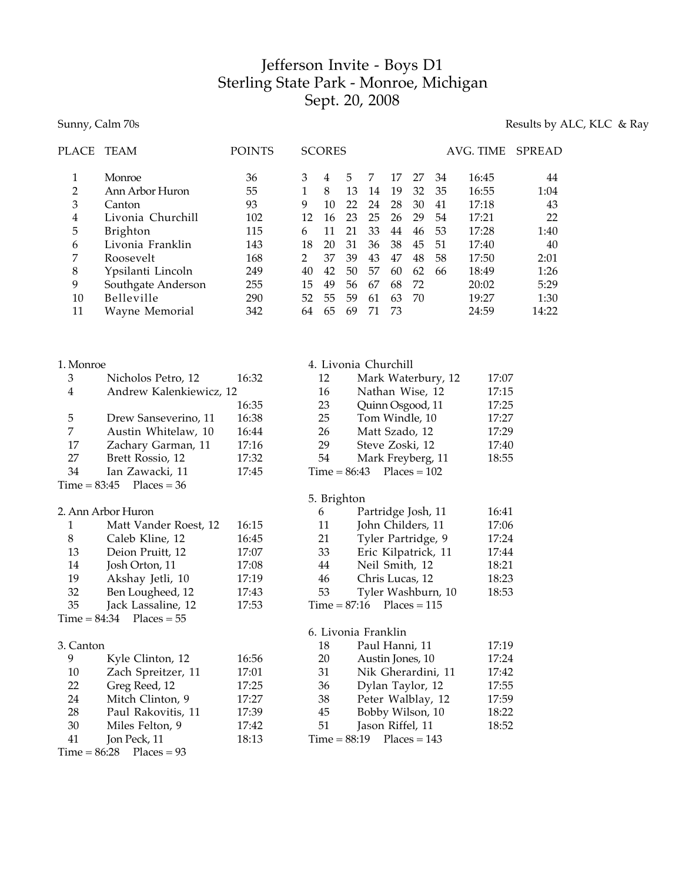## Jefferson Invite - Boys D1 Sterling State Park - Monroe, Michigan Sept. 20, 2008

## Sunny, Calm 70s Results by ALC, KLC & Ray

| <b>PLACE</b>                | TEAM                    | <b>POINTS</b> |                                  | <b>SCORES</b>                                         |                              |                         |                |    |                    | AVG. TIME | SPREAD |
|-----------------------------|-------------------------|---------------|----------------------------------|-------------------------------------------------------|------------------------------|-------------------------|----------------|----|--------------------|-----------|--------|
| $\mathbf{1}$                | Monroe                  | 36            | 3                                | 4                                                     | 5                            | 7                       | 17             | 27 | 34                 | 16:45     | 44     |
| $\overline{2}$              | Ann Arbor Huron         | 55            | $\mathbf{1}$                     | 8                                                     | 13                           | 14                      | 19             | 32 | 35                 | 16:55     | 1:04   |
| $\ensuremath{\mathfrak{Z}}$ | Canton                  | 93            | 9                                | 10                                                    | 22                           | 24                      | 28             | 30 | 41                 | 17:18     | 43     |
| $\overline{4}$              | Livonia Churchill       | 102           | 12                               | 16                                                    | 23                           | 25                      | 26             | 29 | 54                 | 17:21     | 22     |
| 5                           | Brighton                | 115           | 6                                | 11                                                    | 21                           | 33                      | 44             | 46 | 53                 | 17:28     | 1:40   |
| 6                           | Livonia Franklin        | 143           | 18                               | 20                                                    | 31                           | 36                      | 38             | 45 | 51                 | 17:40     | 40     |
| 7                           | Roosevelt               | 168           | $\overline{2}$                   | 37                                                    | 39                           | 43                      | 47             | 48 | 58                 | 17:50     | 2:01   |
| $\,8\,$                     | Ypsilanti Lincoln       | 249           | 40                               | 42                                                    | 50                           | 57                      | 60             | 62 | 66                 | 18:49     | 1:26   |
| 9                           | Southgate Anderson      | 255           | 15                               | 49                                                    | 56                           | 67                      | 68             | 72 |                    | 20:02     | 5:29   |
| 10                          | Belleville              | 290           | 52                               | 55                                                    | 59                           | 61                      | 63             | 70 |                    | 19:27     | 1:30   |
| 11                          | Wayne Memorial          | 342           | 64                               | 65                                                    | 69                           | 71                      | 73             |    |                    | 24:59     | 14:22  |
|                             |                         |               |                                  |                                                       |                              |                         |                |    |                    |           |        |
| 1. Monroe                   |                         |               |                                  |                                                       |                              | 4. Livonia Churchill    |                |    |                    |           |        |
| 3                           | Nicholos Petro, 12      | 16:32         |                                  | 12                                                    |                              |                         |                |    | Mark Waterbury, 12 | 17:07     |        |
| 4                           | Andrew Kalenkiewicz, 12 |               |                                  | 16<br>Nathan Wise, 12                                 |                              |                         |                |    | 17:15              |           |        |
|                             |                         | 16:35         |                                  | 23<br>Quinn Osgood, 11                                |                              |                         |                |    | 17:25              |           |        |
| 5                           | Drew Sanseverino, 11    | 16:38         |                                  | 25                                                    |                              | Tom Windle, 10          |                |    |                    | 17:27     |        |
| 7                           | Austin Whitelaw, 10     | 16:44         |                                  | 26                                                    |                              | Matt Szado, 12          |                |    |                    | 17:29     |        |
| 17                          | Zachary Garman, 11      | 17:16         |                                  | 29<br>Steve Zoski, 12<br>17:40                        |                              |                         |                |    |                    |           |        |
| 27                          | Brett Rossio, 12        | 17:32         |                                  | 54                                                    |                              |                         |                |    |                    | 18:55     |        |
| 34                          | Ian Zawacki, 11         | 17:45         |                                  | Mark Freyberg, 11<br>$Time = 86:43$<br>$Places = 102$ |                              |                         |                |    |                    |           |        |
| $Time = 83:45$              | $Places = 36$           |               |                                  |                                                       |                              |                         |                |    |                    |           |        |
|                             |                         |               |                                  | 5. Brighton                                           |                              |                         |                |    |                    |           |        |
|                             | 2. Ann Arbor Huron      |               |                                  | 6                                                     |                              | Partridge Josh, 11      |                |    |                    | 16:41     |        |
| 1                           | Matt Vander Roest, 12   | 16:15         |                                  | 11                                                    |                              | John Childers, 11       |                |    |                    | 17:06     |        |
| $\,8\,$                     | Caleb Kline, 12         | 16:45         |                                  | 21                                                    | 17:24<br>Tyler Partridge, 9  |                         |                |    |                    |           |        |
| 13                          | Deion Pruitt, 12        | 17:07         |                                  | 33                                                    | Eric Kilpatrick, 11<br>17:44 |                         |                |    |                    |           |        |
| 14                          | Josh Orton, 11          | 17:08         |                                  | 44                                                    |                              | Neil Smith, 12<br>18:21 |                |    |                    |           |        |
| 19                          | Akshay Jetli, 10        | 17:19         |                                  | 46                                                    | Chris Lucas, 12<br>18:23     |                         |                |    |                    |           |        |
| 32                          | Ben Lougheed, 12        | 17:43         |                                  | 53<br>Tyler Washburn, 10<br>18:53                     |                              |                         |                |    |                    |           |        |
| 35                          | Jack Lassaline, 12      | 17:53         | $Time = 87:16$<br>$Places = 115$ |                                                       |                              |                         |                |    |                    |           |        |
| $Time = 84:34$              | $Places = 55$           |               |                                  |                                                       |                              |                         |                |    |                    |           |        |
|                             |                         |               |                                  |                                                       |                              | 6. Livonia Franklin     |                |    |                    |           |        |
| 3. Canton                   |                         |               |                                  | 18                                                    |                              | Paul Hanni, 11          |                |    |                    | 17:19     |        |
| 9                           | Kyle Clinton, 12        | 16:56         |                                  | 20                                                    |                              | Austin Jones, 10        |                |    |                    | 17:24     |        |
| 10                          | Zach Spreitzer, 11      | 17:01         |                                  | 31                                                    |                              |                         |                |    | Nik Gherardini, 11 | 17:42     |        |
| 22                          | Greg Reed, 12           | 17:25         |                                  | 36                                                    |                              |                         |                |    |                    | 17:55     |        |
| 24                          | Mitch Clinton, 9        | 17:27         |                                  | Dylan Taylor, 12<br>38<br>Peter Walblay, 12<br>17:59  |                              |                         |                |    |                    |           |        |
| 28                          | Paul Rakovitis, 11      | 17:39         |                                  | 45<br>18:22<br>Bobby Wilson, 10                       |                              |                         |                |    |                    |           |        |
| 30                          | Miles Felton, 9         | 17:42         | 51<br>Jason Riffel, 11<br>18:52  |                                                       |                              |                         |                |    |                    |           |        |
| 41                          | Jon Peck, 11            | 18:13         |                                  | $Time = 88:19$                                        |                              |                         | $Places = 143$ |    |                    |           |        |
| $Time = 86:28$              | $Places = 93$           |               |                                  |                                                       |                              |                         |                |    |                    |           |        |